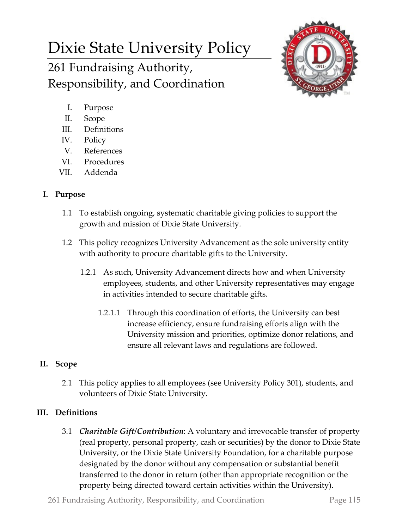# Dixie State University Policy 261 Fundraising Authority, Responsibility, and Coordination



- I. Purpose
- II. Scope
- III. Definitions
- IV. Policy
- V. References
- VI. Procedures
- VII. Addenda

# **I. Purpose**

- 1.1 To establish ongoing, systematic charitable giving policies to support the growth and mission of Dixie State University.
- 1.2 This policy recognizes University Advancement as the sole university entity with authority to procure charitable gifts to the University.
	- 1.2.1 As such, University Advancement directs how and when University employees, students, and other University representatives may engage in activities intended to secure charitable gifts.
		- 1.2.1.1 Through this coordination of efforts, the University can best increase efficiency, ensure fundraising efforts align with the University mission and priorities, optimize donor relations, and ensure all relevant laws and regulations are followed.

# **II. Scope**

2.1 This policy applies to all employees (see University Policy 301), students, and volunteers of Dixie State University.

# **III. Definitions**

3.1 *Charitable Gift/Contribution*: A voluntary and irrevocable transfer of property (real property, personal property, cash or securities) by the donor to Dixie State University, or the Dixie State University Foundation, for a charitable purpose designated by the donor without any compensation or substantial benefit transferred to the donor in return (other than appropriate recognition or the property being directed toward certain activities within the University).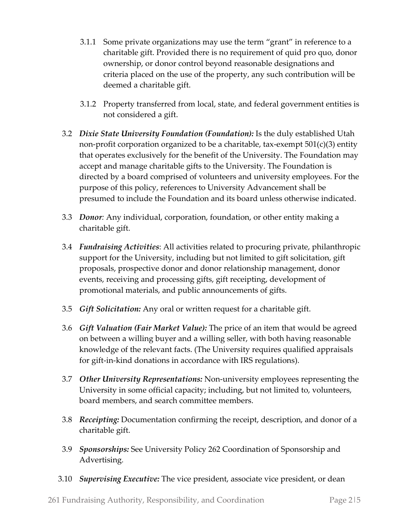- 3.1.1 Some private organizations may use the term "grant" in reference to a charitable gift. Provided there is no requirement of quid pro quo, donor ownership, or donor control beyond reasonable designations and criteria placed on the use of the property, any such contribution will be deemed a charitable gift.
- 3.1.2 Property transferred from local, state, and federal government entities is not considered a gift.
- 3.2 *Dixie State University Foundation (Foundation):* Is the duly established Utah non-profit corporation organized to be a charitable, tax-exempt  $501(c)(3)$  entity that operates exclusively for the benefit of the University. The Foundation may accept and manage charitable gifts to the University. The Foundation is directed by a board comprised of volunteers and university employees. For the purpose of this policy, references to University Advancement shall be presumed to include the Foundation and its board unless otherwise indicated.
- 3.3 *Donor:* Any individual, corporation, foundation, or other entity making a charitable gift.
- 3.4 *Fundraising Activities*: All activities related to procuring private, philanthropic support for the University, including but not limited to gift solicitation, gift proposals, prospective donor and donor relationship management, donor events, receiving and processing gifts, gift receipting, development of promotional materials, and public announcements of gifts.
- 3.5 *Gift Solicitation:* Any oral or written request for a charitable gift.
- 3.6 *Gift Valuation (Fair Market Value):* The price of an item that would be agreed on between a willing buyer and a willing seller, with both having reasonable knowledge of the relevant facts. (The University requires qualified appraisals for gift-in-kind donations in accordance with IRS regulations).
- 3.7 *Other University Representations:* Non-university employees representing the University in some official capacity; including, but not limited to, volunteers, board members, and search committee members.
- 3.8 *Receipting:* Documentation confirming the receipt, description, and donor of a charitable gift.
- 3.9 *Sponsorships:* See University Policy 262 Coordination of Sponsorship and Advertising*.*
- 3.10 *Supervising Executive:* The vice president, associate vice president, or dean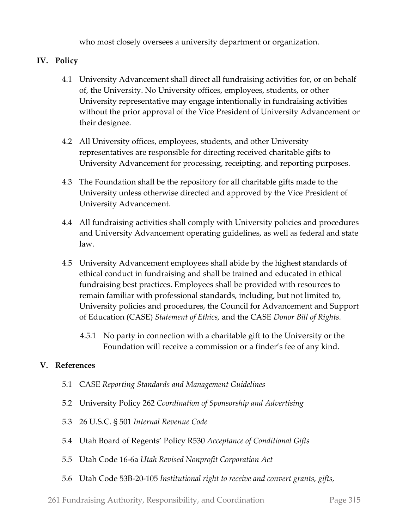who most closely oversees a university department or organization.

## **IV. Policy**

- 4.1 University Advancement shall direct all fundraising activities for, or on behalf of, the University. No University offices, employees, students, or other University representative may engage intentionally in fundraising activities without the prior approval of the Vice President of University Advancement or their designee.
- 4.2 All University offices, employees, students, and other University representatives are responsible for directing received charitable gifts to University Advancement for processing, receipting, and reporting purposes.
- 4.3 The Foundation shall be the repository for all charitable gifts made to the University unless otherwise directed and approved by the Vice President of University Advancement.
- 4.4 All fundraising activities shall comply with University policies and procedures and University Advancement operating guidelines, as well as federal and state law.
- 4.5 University Advancement employees shall abide by the highest standards of ethical conduct in fundraising and shall be trained and educated in ethical fundraising best practices. Employees shall be provided with resources to remain familiar with professional standards, including, but not limited to, University policies and procedures, the Council for Advancement and Support of Education (CASE) *Statement of Ethics,* and the CASE *Donor Bill of Rights.*
	- 4.5.1 No party in connection with a charitable gift to the University or the Foundation will receive a commission or a finder's fee of any kind.

### **V. References**

- 5.1 CASE *Reporting Standards and Management Guidelines*
- 5.2 University Policy 262 *Coordination of Sponsorship and Advertising*
- 5.3 26 U.S.C. § 501 *Internal Revenue Code*
- 5.4 Utah Board of Regents' Policy R530 *Acceptance of Conditional Gifts*
- 5.5 Utah Code 16-6a *Utah Revised Nonprofit Corporation Act*
- 5.6 Utah Code 53B-20-105 *Institutional right to receive and convert grants, gifts,*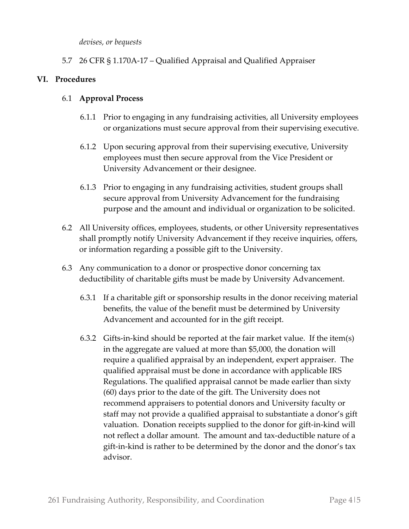*devises, or bequests*

5.7 26 CFR § 1.170A-17 – Qualified Appraisal and Qualified Appraiser

### **VI. Procedures**

#### 6.1 **Approval Process**

- 6.1.1 Prior to engaging in any fundraising activities, all University employees or organizations must secure approval from their supervising executive.
- 6.1.2 Upon securing approval from their supervising executive, University employees must then secure approval from the Vice President or University Advancement or their designee.
- 6.1.3 Prior to engaging in any fundraising activities, student groups shall secure approval from University Advancement for the fundraising purpose and the amount and individual or organization to be solicited.
- 6.2 All University offices, employees, students, or other University representatives shall promptly notify University Advancement if they receive inquiries, offers, or information regarding a possible gift to the University.
- 6.3 Any communication to a donor or prospective donor concerning tax deductibility of charitable gifts must be made by University Advancement.
	- 6.3.1 If a charitable gift or sponsorship results in the donor receiving material benefits, the value of the benefit must be determined by University Advancement and accounted for in the gift receipt.
	- 6.3.2 Gifts-in-kind should be reported at the fair market value. If the item(s) in the aggregate are valued at more than \$5,000, the donation will require a qualified appraisal by an independent, expert appraiser. The qualified appraisal must be done in accordance with applicable IRS Regulations. The qualified appraisal cannot be made earlier than sixty (60) days prior to the date of the gift. The University does not recommend appraisers to potential donors and University faculty or staff may not provide a qualified appraisal to substantiate a donor's gift valuation. Donation receipts supplied to the donor for gift-in-kind will not reflect a dollar amount. The amount and tax-deductible nature of a gift-in-kind is rather to be determined by the donor and the donor's tax advisor.